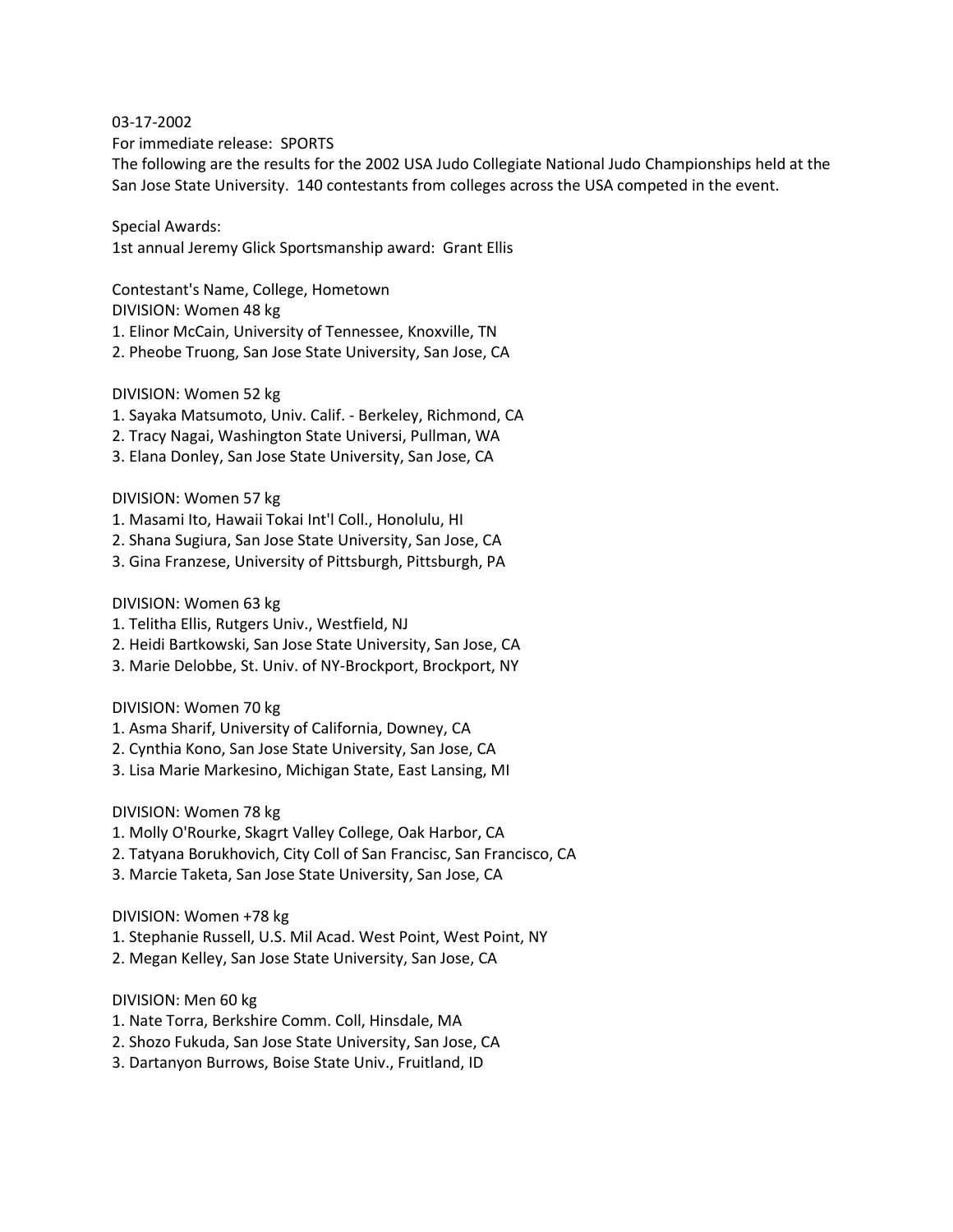#### 03-17-2002

For immediate release: SPORTS

The following are the results for the 2002 USA Judo Collegiate National Judo Championships held at the San Jose State University. 140 contestants from colleges across the USA competed in the event.

Special Awards:

1st annual Jeremy Glick Sportsmanship award: Grant Ellis

Contestant's Name, College, Hometown DIVISION: Women 48 kg

1. Elinor McCain, University of Tennessee, Knoxville, TN

2. Pheobe Truong, San Jose State University, San Jose, CA

DIVISION: Women 52 kg

- 1. Sayaka Matsumoto, Univ. Calif. Berkeley, Richmond, CA
- 2. Tracy Nagai, Washington State Universi, Pullman, WA
- 3. Elana Donley, San Jose State University, San Jose, CA

DIVISION: Women 57 kg

- 1. Masami Ito, Hawaii Tokai Int'l Coll., Honolulu, HI
- 2. Shana Sugiura, San Jose State University, San Jose, CA
- 3. Gina Franzese, University of Pittsburgh, Pittsburgh, PA

DIVISION: Women 63 kg

- 1. Telitha Ellis, Rutgers Univ., Westfield, NJ
- 2. Heidi Bartkowski, San Jose State University, San Jose, CA
- 3. Marie Delobbe, St. Univ. of NY-Brockport, Brockport, NY

DIVISION: Women 70 kg

- 1. Asma Sharif, University of California, Downey, CA
- 2. Cynthia Kono, San Jose State University, San Jose, CA
- 3. Lisa Marie Markesino, Michigan State, East Lansing, MI

DIVISION: Women 78 kg

- 1. Molly O'Rourke, Skagrt Valley College, Oak Harbor, CA
- 2. Tatyana Borukhovich, City Coll of San Francisc, San Francisco, CA
- 3. Marcie Taketa, San Jose State University, San Jose, CA

DIVISION: Women +78 kg

- 1. Stephanie Russell, U.S. Mil Acad. West Point, West Point, NY
- 2. Megan Kelley, San Jose State University, San Jose, CA

DIVISION: Men 60 kg

- 1. Nate Torra, Berkshire Comm. Coll, Hinsdale, MA
- 2. Shozo Fukuda, San Jose State University, San Jose, CA
- 3. Dartanyon Burrows, Boise State Univ., Fruitland, ID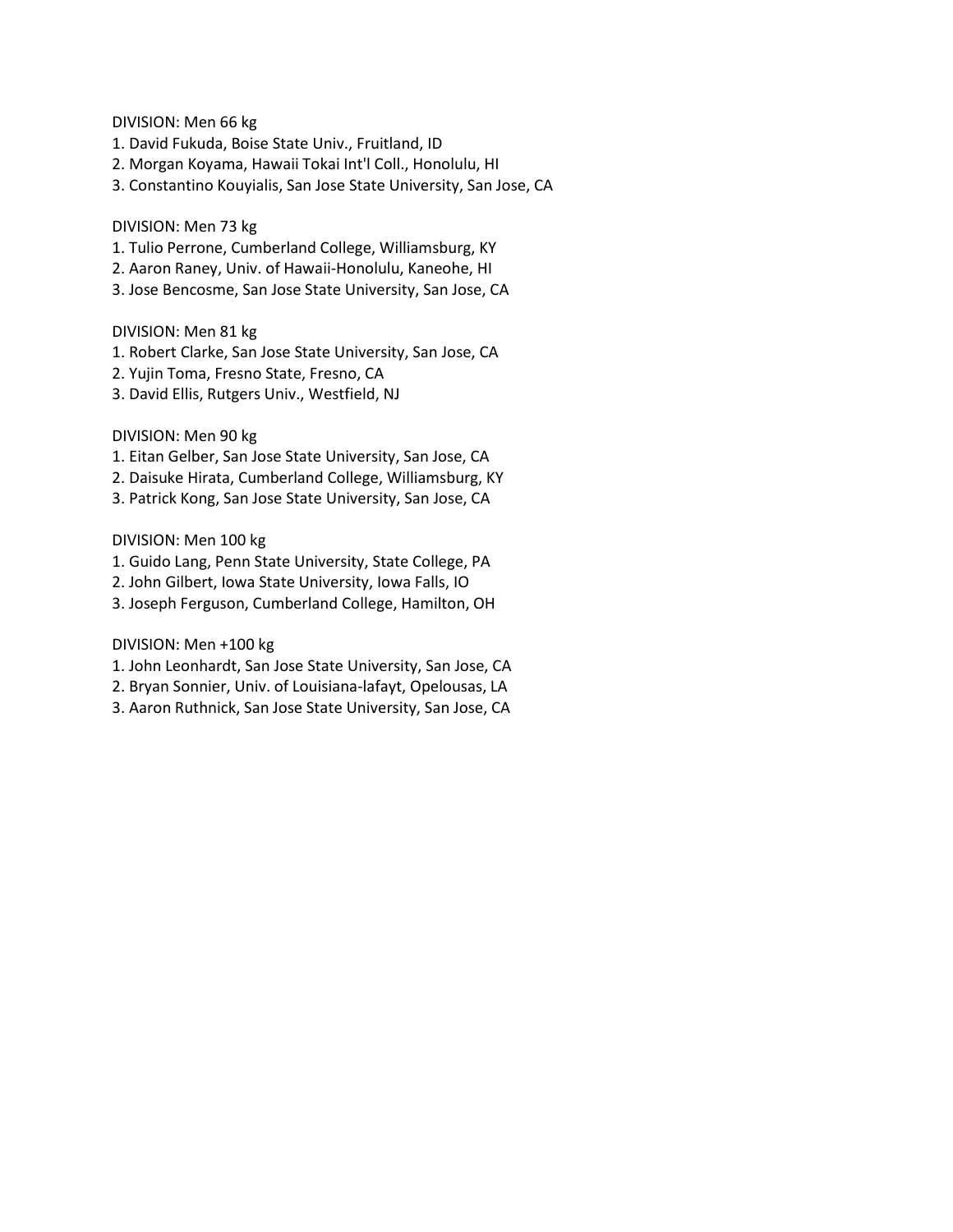DIVISION: Men 66 kg

- 1. David Fukuda, Boise State Univ., Fruitland, ID
- 2. Morgan Koyama, Hawaii Tokai Int'l Coll., Honolulu, HI
- 3. Constantino Kouyialis, San Jose State University, San Jose, CA

## DIVISION: Men 73 kg

- 1. Tulio Perrone, Cumberland College, Williamsburg, KY
- 2. Aaron Raney, Univ. of Hawaii-Honolulu, Kaneohe, HI
- 3. Jose Bencosme, San Jose State University, San Jose, CA

## DIVISION: Men 81 kg

- 1. Robert Clarke, San Jose State University, San Jose, CA
- 2. Yujin Toma, Fresno State, Fresno, CA
- 3. David Ellis, Rutgers Univ., Westfield, NJ

# DIVISION: Men 90 kg

- 1. Eitan Gelber, San Jose State University, San Jose, CA
- 2. Daisuke Hirata, Cumberland College, Williamsburg, KY
- 3. Patrick Kong, San Jose State University, San Jose, CA

## DIVISION: Men 100 kg

- 1. Guido Lang, Penn State University, State College, PA
- 2. John Gilbert, Iowa State University, Iowa Falls, IO
- 3. Joseph Ferguson, Cumberland College, Hamilton, OH

# DIVISION: Men +100 kg

- 1. John Leonhardt, San Jose State University, San Jose, CA
- 2. Bryan Sonnier, Univ. of Louisiana-lafayt, Opelousas, LA
- 3. Aaron Ruthnick, San Jose State University, San Jose, CA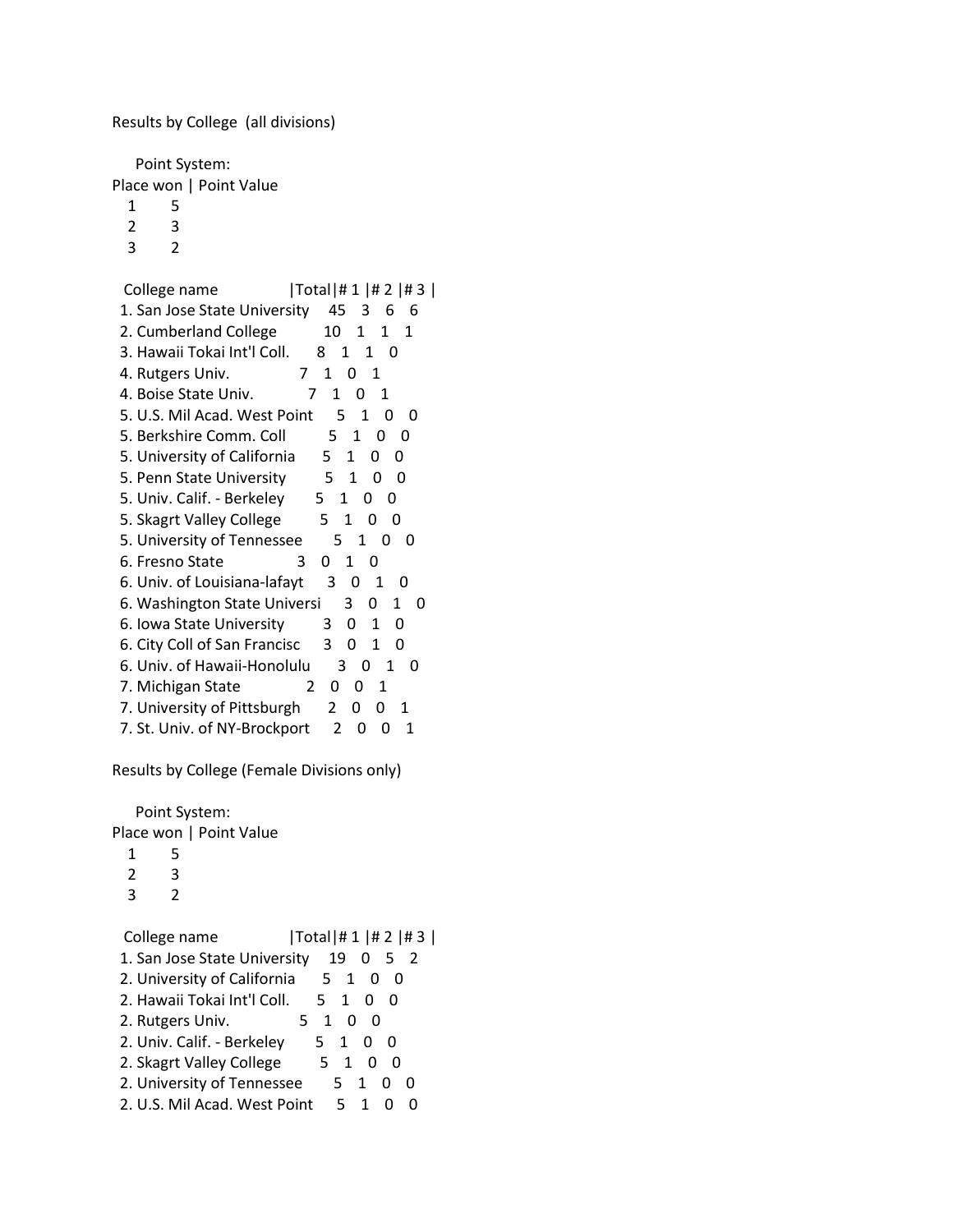Results by College (all divisions)

 Point System: Place won | Point Value

- 1 5
- 2 3
- 3 2

| Total #1 #2 #3 <br>College name                             |
|-------------------------------------------------------------|
| 1. San Jose State University<br>45<br>6<br>3<br>6           |
| 2. Cumberland College<br>10<br>1<br>1<br>1                  |
| 3. Hawaii Tokai Int'l Coll.<br>1<br>1<br>8.<br>- 0          |
| 4. Rutgers Univ.<br>7<br>1<br>0<br>1                        |
| 4. Boise State Univ.<br>1<br>1<br>7<br>0                    |
| 5. U.S. Mil Acad. West Point<br>5<br>1<br>0                 |
| 5. Berkshire Comm. Coll<br>5<br>1<br>O                      |
| 5. University of California<br>5.<br>1<br>0<br>O            |
| 5. Penn State University<br>5<br>1<br>0<br>0                |
| 5. Univ. Calif. - Berkeley<br>5.<br>1<br>0<br>O             |
| 5. Skagrt Valley College<br>5<br>1<br>Ω<br>O                |
| 5. University of Tennessee<br>5<br>1<br>O<br>O              |
| 1<br>6. Fresno State<br>0<br>3<br>0                         |
| 6. Univ. of Louisiana-lafayt<br>3<br>0<br>1<br>O            |
| 6. Washington State Universi<br>3.<br>0<br>1<br>O           |
| 6. Iowa State University<br>0<br>1<br>0<br>3                |
| 6. City Coll of San Francisc<br>3<br>0<br>1<br>0            |
| 6. Univ. of Hawaii-Honolulu<br>3<br>O<br>1<br>O             |
| 7. Michigan State<br>$\mathfrak{p}$<br>0<br>1<br>0          |
| 7. University of Pittsburgh<br>$\mathcal{P}$<br>0<br>0<br>1 |
| 7. St. Univ. of NY-Brockport<br>2<br>1<br>0<br>0            |

Results by College (Female Divisions only)

 Point System: Place won | Point Value  $\begin{array}{ccc} 1 & 5 \\ 2 & 3 \end{array}$  $\begin{array}{ccc} 2 & 3 \\ 3 & 2 \end{array}$  $\overline{3}$ College name  $|Total| # 1 | # 2 | # 3 |$  1. San Jose State University 19 0 5 2 2. University of California 5 1 0 0 2. Hawaii Tokai Int'l Coll. 5 1 0 0 2. Rutgers Univ. 5 1 0 0 2. Univ. Calif. - Berkeley 5 1 0 0 2. Skagrt Valley College 5 1 0 0 2. University of Tennessee 5 1 0 0 2. U.S. Mil Acad. West Point 5 1 0 0